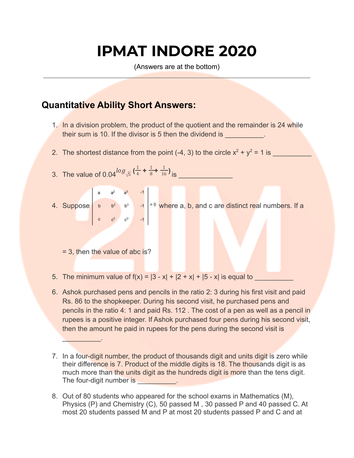# **IPMAT INDORE 2020**

(Answers are at the bottom)

## **Quantitative Ability Short Answers:**

- 1. In a division problem, the product of the quotient and the remainder is 24 while their sum is 10. If the divisor is 5 then the dividend is
- 2. The shortest distance from the point (-4, 3) to the circle  $x^2 + y^2 = 1$  is
- 3. The value of  $0.04^{log} \sqrt{5} (\frac{1}{4} + \frac{1}{8} + \frac{1}{16})_{1S}$ 1 4 1 8 1 16
- 4. Suppose  $\begin{vmatrix} a & a^2 & a^3 & -1 \\ b & b^2 & b^3 & -1 \\ c & c^2 & c^3 & -1 \end{vmatrix} = 0$  where a, b, and c are distinct real numbers. If a

= 3, then the value of abc is?

 $\mathcal{L}=\{1,2,3,4\}$ 

- 5. The minimum value of  $f(x) = |3 x| + |2 + x| + |5 x|$  is equal to
- 6. Ashok purchased pens and pencils in the ratio 2: 3 during his first visit and paid Rs. 86 to the shopkeeper. During his second visit, he purchased pens and pencils in the ratio 4: 1 and paid Rs. 112 . The cost of a pen as well as a pencil in rupees is a positive integer. If Ashok purchased four pens during his second visit, then the amount he paid in rupees for the pens during the second visit is
- 7. In a four-digit number, the product of thousands digit and units digit is zero while their difference is 7. Product of the middle digits is 18. The thousands digit is as much more than the units digit as the hundreds digit is more than the tens digit. The four-digit number is **EXECUTE:**
- 8. Out of 80 students who appeared for the school exams in Mathematics (M), Physics (P) and Chemistry (C), 50 passed M , 30 passed P and 40 passed C. At most 20 students passed M and P at most 20 students passed P and C and at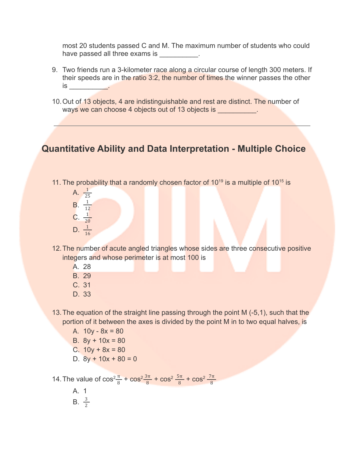most 20 students passed C and M. The maximum number of students who could have passed all three exams is

- 9. Two friends run a 3-kilometer race along a circular course of length 300 meters. If their speeds are in the ratio 3:2, the number of times the winner passes the other  $is \qquad \qquad$
- 10.Out of 13 objects, 4 are indistinguishable and rest are distinct. The number of ways we can choose 4 objects out of 13 objects is \_\_\_\_\_\_\_\_\_\_.

## **Quantitative Ability and Data Interpretation - Multiple Choice**

- 11. The probability that a randomly chosen factor of  $10^{19}$  is a multiple of  $10^{15}$  is
	- A.  $\frac{1}{25}$ **B.**  $\frac{1}{12}$  $C. \frac{1}{20}$ D.  $\frac{1}{16}$
- 12.The number of acute angled triangles whose sides are three consecutive positive integers and whose perimeter is at most 100 is
	- A. 28
	- B. 29
	- C. 31
	- D. 33
- 13.The equation of the straight line passing through the point M (-5,1), such that the portion of it between the axes is divided by the point M in to two equal halves, is
	- A.  $10y 8x = 80$
	- B.  $8y + 10x = 80$
	- C.  $10y + 8x = 80$
	- D.  $8y + 10x + 80 = 0$

14. The value of  $\cos^2 \frac{\pi}{8} + \cos^2 \frac{3\pi}{8} + \cos^2 \frac{5\pi}{8} + \cos^2 \frac{5\pi}{8}$ 3π 8 5π 8 7π 8

> A. 1 **B.**  $\frac{3}{2}$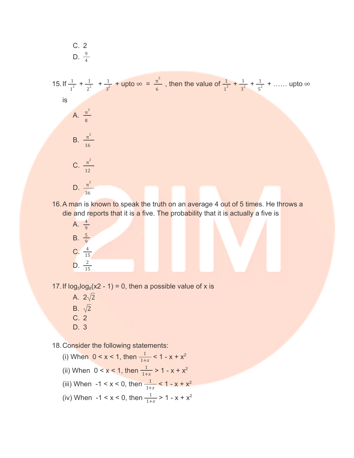C. 2  
D. 
$$
\frac{9}{4}
$$

15. If  $\frac{1}{1^2} + \frac{1}{2^2} + \frac{1}{3^2} + \text{upto } \infty = \frac{\pi^2}{6}$ , then the value of  $\frac{1}{1^2} + \frac{1}{3^2} + \frac{1}{5^2} + \dots$  upto 1  $2^2$ 1  $rac{1}{3^2}$  + upto  $\infty = \frac{\pi^2}{6}$ 6 1 1 2 1  $3^2$ 1  $\frac{1}{5^2}$  + ...... upto  $\infty$ is A.  $\frac{\pi^2}{2}$ 8 B.  $\frac{\pi^2}{2}$ 16 C.  $\frac{\pi^2}{2}$ 12 D.  $\frac{\pi^2}{2}$ 36

16. A man is known to speak the truth on an average 4 out of 5 times. He throws a die and reports that it is a five. The probability that it is actually a five is



17. If  $log_5 log_8(x2 - 1) = 0$ , then a possible value of x is

A.  $2\sqrt{2}$ B.  $\sqrt{2}$ C. 2 D. 3

18.Consider the following statements:

(i) When  $0 < x < 1$ , then  $\frac{1}{1+x} < 1 - x + x^2$ (ii) When  $0 < x < 1$ , then  $\frac{1}{1+x} > 1 - x + x^2$ (iii) When  $-1 < x < 0$ , then  $\frac{1}{1+x} < 1 - x + x^2$ (iv) When  $-1 < x < 0$ , then  $\frac{1}{1+x} > 1 - x + x^2$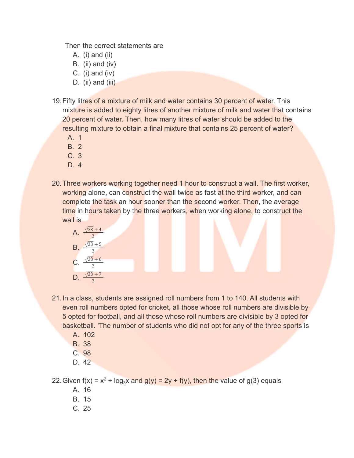Then the correct statements are

- A.  $(i)$  and  $(ii)$
- B. (ii) and (iv)
- C.  $(i)$  and  $(iv)$
- D. (ii) and (iii)
- 19.Fifty litres of a mixture of milk and water contains 30 percent of water. This mixture is added to eighty litres of another mixture of milk and water that contains 20 percent of water. Then, how many litres of water should be added to the resulting mixture to obtain a final mixture that contains 25 percent of water?
	- A. 1
	- B. 2
	- C. 3
	- D. 4
- 20.Three workers working together need 1 hour to construct a wall. The first worker, working alone, can construct the wall twice as fast at the third worker, and can complete the task an hour sooner than the second worker. Then, the average time in hours taken by the three workers, when working alone, to construct the wall is



- 21.In a class, students are assigned roll numbers from 1 to 140. All students with even roll numbers opted for cricket, all those whose roll numbers are divisible by 5 opted for football, and all those whose roll numbers are divisible by 3 opted for basketball. 'The number of students who did not opt for any of the three sports is
	- A. 102
	- B. 38
	- C. 98
	- D. 42

22. Given  $f(x) = x^2 + log_3x$  and  $g(y) = 2y + f(y)$ , then the value of  $g(3)$  equals

- A. 16
- B. 15
- C. 25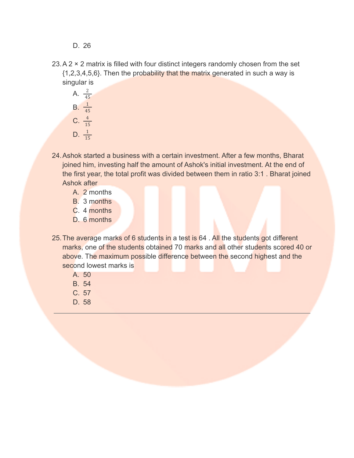- D. 26
- $23.A.2 \times 2$  matrix is filled with four distinct integers randomly chosen from the set {1,2,3,4,5,6}. Then the probability that the matrix generated in such a way is singular is
	- A.  $\frac{2}{45}$ **B.**  $\frac{1}{45}$ C.  $\frac{4}{15}$ D.  $\frac{1}{15}$
- 24.Ashok started a business with a certain investment. After a few months, Bharat joined him, investing half the amount of Ashok's initial investment. At the end of the first year, the total profit was divided between them in ratio 3:1 . Bharat joined Ashok after
	- A. 2 months
	- B. 3 months
	- C. 4 months
	- D. 6 months
- 25. The average marks of 6 students in a test is 64. All the students got different marks, one of the students obtained 70 marks and all other students scored 40 or above. The maximum possible difference between the second highest and the second lowest marks is
	- A. 50
	- B. 54
	- C. 57
	- D. 58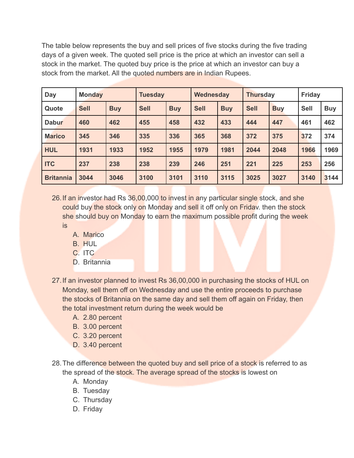The table below represents the buy and sell prices of five stocks during the five trading days of a given week. The quoted sell price is the price at which an investor can sell a stock in the market. The quoted buy price is the price at which an investor can buy a stock from the market. All the quoted numbers are in Indian Rupees.

| Day              | <b>Monday</b> |            | <b>Tuesday</b> |            | Wednesday   |            | <b>Thursday</b> |            | <b>Friday</b> |            |
|------------------|---------------|------------|----------------|------------|-------------|------------|-----------------|------------|---------------|------------|
| Quote            | <b>Sell</b>   | <b>Buy</b> | <b>Sell</b>    | <b>Buy</b> | <b>Sell</b> | <b>Buy</b> | <b>Sell</b>     | <b>Buy</b> | <b>Sell</b>   | <b>Buy</b> |
| <b>Dabur</b>     | 460           | 462        | 455            | 458        | 432         | 433        | 444             | 447        | 461           | 462        |
| <b>Marico</b>    | 345           | 346        | 335            | 336        | 365         | 368        | 372             | 375        | 372           | 374        |
| <b>HUL</b>       | 1931          | 1933       | 1952           | 1955       | 1979        | 1981       | 2044            | 2048       | 1966          | 1969       |
| <b>ITC</b>       | 237           | 238        | 238            | 239        | 246         | 251        | 221             | 225        | 253           | 256        |
| <b>Britannia</b> | 3044          | 3046       | 3100           | 3101       | 3110        | 3115       | 3025            | 3027       | 3140          | 3144       |

26. If an investor had Rs 36,00,000 to invest in any particular single stock, and she could buy the stock only on Monday and sell it off only on Friday, then the stock she should buy on Monday to earn the maximum possible profit during the week is

- A. Marico
- B. HUL
- C. ITC
- D. Britannia
- 27.If an investor planned to invest Rs 36,00,000 in purchasing the stocks of HUL on Monday, sell them off on Wednesday and use the entire proceeds to purchase the stocks of Britannia on the same day and sell them off again on Friday, then the total investment return during the week would be
	- A. 2.80 percent
	- B. 3.00 percent
	- C. 3.20 percent
	- D. 3.40 percent
- 28. The difference between the quoted buy and sell price of a stock is referred to as the spread of the stock. The average spread of the stocks is lowest on
	- A. Monday
	- B. Tuesday
	- C. Thursday
	- D. Friday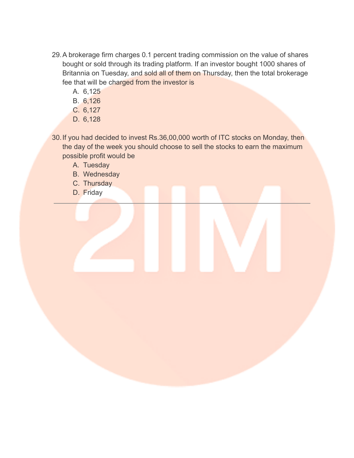- 29.A brokerage firm charges 0.1 percent trading commission on the value of shares bought or sold through its trading platform. If an investor bought 1000 shares of Britannia on Tuesday, and sold all of them on Thursday, then the total brokerage fee that will be charged from the investor is
	- A. 6,125
	- B. 6,126
	- C. 6,127
	- D. 6,128
- 30.If you had decided to invest Rs.36,00,000 worth of ITC stocks on Monday, then the day of the week you should choose to sell the stocks to earn the maximum possible profit would be
	- A. Tuesday
	- B. Wednesday
	- C. Thursday
	- D. Friday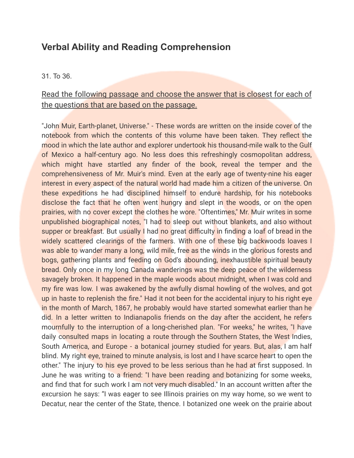## **Verbal Ability and Reading Comprehension**

#### 31. To 36.

### Read the following passage and choose the answer that is closest for each of the questions that are based on the passage.

"John Muir, Earth-planet, Universe." - These words are written on the inside cover of the notebook from which the contents of this volume have been taken. They reflect the mood in which the late author and explorer undertook his thousand-mile walk to the Gulf of Mexico a half-century ago. No less does this refreshingly cosmopolitan address, which might have startled any finder of the book, reveal the temper and the comprehensiveness of Mr. Muir's mind. Even at the early age of twenty-nine his eager interest in every aspect of the natural world had made him a citizen of the universe. On these expeditions he had disciplined himself to endure hardship, for his notebooks disclose the fact that he often went hungry and slept in the woods, or on the open prairies, with no cover except the clothes he wore. "Oftentimes," Mr. Muir writes in some unpublished biographical notes, "I had to sleep out without blankets, and also without supper or breakfast. But usually I had no great difficulty in finding a loaf of bread in the widely scattered clearings of the farmers. With one of these big backwoods loaves I was able to wander many a long, wild mile, free as the winds in the glorious forests and bogs, gathering plants and feeding on God's abounding, inexhaustible spiritual beauty bread. Only once in my long Canada wanderings was the deep peace of the wilderness savagely broken. It happened in the maple woods about midnight, when I was cold and my fire was low. I was awakened by the awfully dismal howling of the wolves, and got up in haste to replenish the fire." Had it not been for the accidental injury to his right eye in the month of March, 1867, he probably would have started somewhat earlier than he did. In a letter written to Indianapolis friends on the day after the accident, he refers mournfully to the interruption of a long-cherished plan. "For weeks," he writes, "I have daily consulted maps in locating a route through the Southern States, the West Indies, South America, and Europe - a botanical journey studied for years. But, alas, I am half blind. My right eye, trained to minute analysis, is lost and I have scarce heart to open the other." The injury to his eye proved to be less serious than he had at first supposed. In June he was writing to a friend: "I have been reading and botanizing for some weeks, and find that for such work I am not very much disabled." In an account written after the excursion he says: "I was eager to see Illinois prairies on my way home, so we went to Decatur, near the center of the State, thence. I botanized one week on the prairie about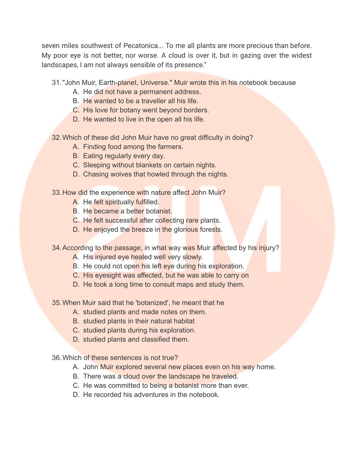seven miles southwest of Pecatonica... To me all plants are more precious than before. My poor eye is not better, nor worse. A cloud is over it, but in gazing over the widest landscapes, I am not always sensible of its presence."

- 31. "John Muir, Earth-planet, Universe." Muir wrote this in his notebook because
	- A. He did not have a permanent address.
	- B. He wanted to be a traveller all his life.
	- C. His love for botany went beyond borders.
	- D. He wanted to live in the open all his life.

32.Which of these did John Muir have no great difficulty in doing?

- A. Finding food among the farmers.
- B. Eating regularly every day.
- C. Sleeping without blankets on certain nights.
- D. Chasing wolves that howled through the nights.
- 33. How did the experience with nature affect John Muir?
	- A. He felt spiritually fulfilled.
	- B. He became a better botanist.
	- C. He felt successful after collecting rare plants.
	- D. He enjoyed the breeze in the glorious forests.
- 34. According to the passage, in what way was Muir affected by his injury?
	- A. His injured eye healed well very slowly.
	- B. He could not open his left eye during his exploration.
	- C. His eyesight was affected, but he was able to carry on
	- D. He took a long time to consult maps and study them.
- 35.When Muir said that he 'botanized', he meant that he
	- A. studied plants and made notes on them.
	- B. studied plants in their natural habitat
	- C. studied plants during his exploration.
	- D. studied plants and classified them.
- 36.Which of these sentences is not true?
	- A. John Muir explored several new places even on his way home.
	- B. There was a cloud over the landscape he traveled.
	- C. He was committed to being a botanist more than ever.
	- D. He recorded his adventures in the notebook.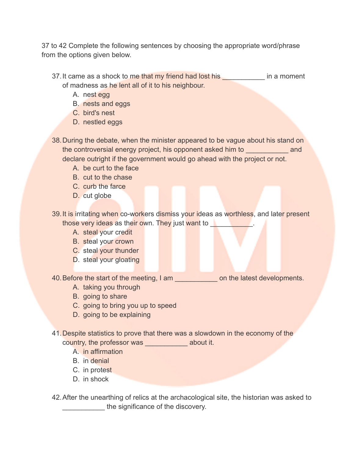37 to 42 Complete the following sentences by choosing the appropriate word/phrase from the options given below.

- 37. It came as a shock to me that my friend had lost his **should use in a moment** of madness as he lent all of it to his neighbour.
	- A. nest egg
	- B. nests and eggs
	- C. bird's nest
	- D. nestled eggs
- 38.During the debate, when the minister appeared to be vague about his stand on the controversial energy project, his opponent asked him to **and** declare outright if the government would go ahead with the project or not.
	- A. be curt to the face
	- B. cut to the chase
	- C. curb the farce
	- D. cut globe

39. It is irritating when co-workers dismiss your ideas as worthless, and later present those very ideas as their own. They just want to

- A. steal your credit
- B. steal your crown
- C. steal your thunder
- D. steal your gloating

40. Before the start of the meeting, I am  $\blacksquare$  on the latest developments.

- A. taking you through
- B. going to share
- C. going to bring you up to speed
- D. going to be explaining
- 41.Despite statistics to prove that there was a slowdown in the economy of the
	- country, the professor was \_\_\_\_\_\_\_\_\_\_\_\_\_ about it.
		- A. in affirmation
		- B. in denial
		- C. in protest
		- D. in shock

42.After the unearthing of relics at the archacological site, the historian was asked to the significance of the discovery.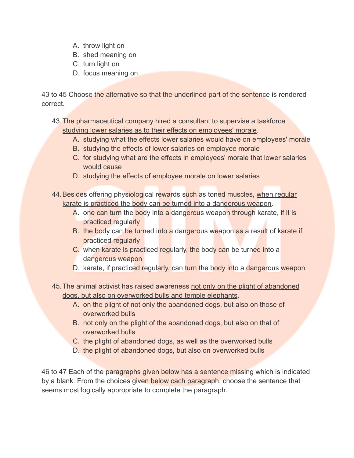- A. throw light on
- B. shed meaning on
- C. turn light on
- D. focus meaning on

43 to 45 Choose the alternative so that the underlined part of the sentence is rendered correct.

43.The pharmaceutical company hired a consultant to supervise a taskforce studying lower salaries as to their effects on employees' morale.

- A. studying what the effects lower salaries would have on employees' morale
- B. studying the effects of lower salaries on employee morale
- C. for studying what are the effects in employees' morale that lower salaries would cause
- D. studying the effects of employee morale on lower salaries

44. Besides offering physiological rewards such as toned muscles, when regular karate is practiced the body can be turned into a dangerous weapon.

- A. one can turn the body into a dangerous weapon through karate, if it is practiced regularly
- B. the body can be turned into a dangerous weapon as a result of karate if practiced regularly
- C. when karate is practiced regularly, the body can be turned into a dangerous weapon
- D. karate, if practiced regularly, can turn the body into a dangerous weapon
- 45.The animal activist has raised awareness not only on the plight of abandoned dogs, but also on overworked bulls and temple elephants.
	- A. on the plight of not only the abandoned dogs, but also on those of overworked bulls
	- B. not only on the plight of the abandoned dogs, but also on that of overworked bulls
	- C. the plight of abandoned dogs, as well as the overworked bulls
	- D. the plight of abandoned dogs, but also on overworked bulls

46 to 47 Each of the paragraphs given below has a sentence missing which is indicated by a blank. From the choices given below cach paragraph, choose the sentence that seems most logically appropriate to complete the paragraph.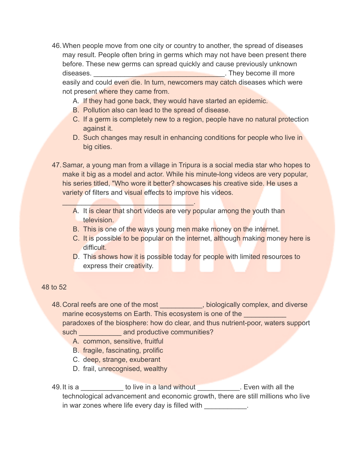- 46.When people move from one city or country to another, the spread of diseases may result. People often bring in germs which may not have been present there before. These new germs can spread quickly and cause previously unknown diseases. \_\_\_\_\_\_\_\_\_\_\_\_\_\_\_\_\_\_\_\_\_\_\_\_\_\_\_\_\_\_\_\_\_\_. They become ill more easily and could even die. In turn, newcomers may catch diseases which were not present where they came from.
	- A. If they had gone back, they would have started an epidemic.
	- B. Pollution also can lead to the spread of disease.
	- C. If a germ is completely new to a region, people have no natural protection against it.
	- D. Such changes may result in enhancing conditions for people who live in big cities.
- 47.Samar, a young man from a village in Tripura is a social media star who hopes to make it big as a model and actor. While his minute-long videos are very popular, his series titled, "Who wore it better? showcases his creative side. He uses a variety of filters and visual effects to improve his videos.
	- A. It is clear that short videos are very popular among the youth than television.
	- B. This is one of the ways young men make money on the internet.
	- C. It is possible to be popular on the internet, although making money here is difficult.
	- D. This shows how it is possible today for people with limited resources to express their creativity.

#### 48 to 52

- 48. Coral reefs are one of the most **All and Science is a constant of the most** biologically complex, and diverse marine ecosystems on Earth. This ecosystem is one of the paradoxes of the biosphere: how do clear, and thus nutrient-poor, waters support such \_\_\_\_\_\_\_\_\_\_\_\_\_ and productive communities?
	- A. common, sensitive, fruitful

 $\mathcal{L} = \{ \mathcal{L} \}$ 

- B. fragile, fascinating, prolific
- C. deep, strange, exuberant
- D. frail, unrecognised, wealthy

49. It is a \_\_\_\_\_\_\_\_\_\_\_\_ to live in a land without \_\_\_\_\_\_\_\_\_\_\_. Even with all the technological advancement and economic growth, there are still millions who live in war zones where life every day is filled with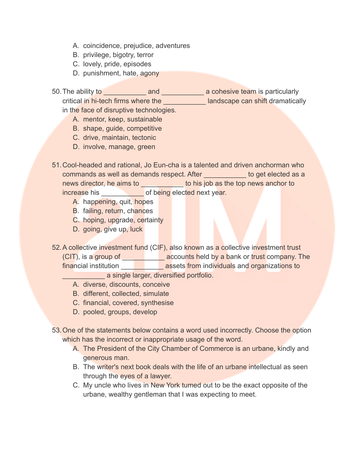- A. coincidence, prejudice, adventures
- B. privilege, bigotry, terror
- C. lovely, pride, episodes
- D. punishment, hate, agony
- 50.The ability to \_\_\_\_\_\_\_\_\_\_\_ and \_\_\_\_\_\_\_\_\_\_\_ a cohesive team is particularly critical in hi-tech firms where the **Norman is a landscape can shift dramatically** in the face of disruptive technologies.
	- A. mentor, keep, sustainable
	- B. shape, guide, competitive
	- C. drive, maintain, tectonic
	- D. involve, manage, green
- 51.Cool-headed and rational, Jo Eun-cha is a talented and driven anchorman who commands as well as demands respect. After the state of the dected as a news director, he aims to **the contract of the top news** anchor to his job as the top news anchor to increase his **the of being elected next year.** 
	- A. happening, quit, hopes
	- B. failing, return, chances
	- C. hoping, upgrade, certainty
	- D. going, give up, luck
- 52.A collective investment fund (CIF), also known as a collective investment trust (CIT), is a group of \_\_\_\_\_\_\_\_\_\_\_ accounts held by a bank or trust company. The financial institution <u>\_\_\_\_\_\_\_\_\_\_\_\_\_\_</u> assets from indi<mark>vidual</mark>s and organizations to **Example 2** single larger, diversified portfolio.
	- A. diverse, discounts, conceive
	- B. different, collected, simulate
	- C. financial, covered, synthesise
	- D. pooled, groups, develop
- 53.One of the statements below contains a word used incorrectly. Choose the option which has the incorrect or inappropriate usage of the word.
	- A. The President of the City Chamber of Commerce is an urbane, kindly and generous man.
	- B. The writer's next book deals with the life of an urbane intellectual as seen through the eyes of a lawyer.
	- C. My uncle who lives in New York tumed out to be the exact opposite of the urbane, wealthy gentleman that I was expecting to meet.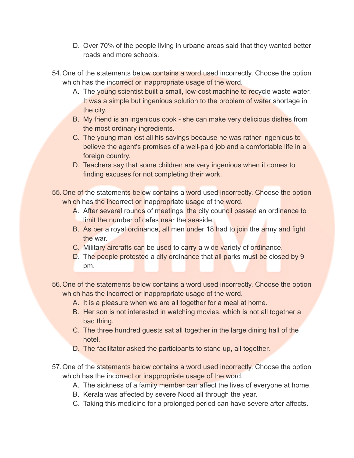- D. Over 70% of the people living in urbane areas said that they wanted better roads and more schools.
- 54. One of the statements below contains a word used incorrectly. Choose the option which has the incorrect or inappropriate usage of the word.
	- A. The young scientist built a small, low-cost machine to recycle waste water. It was a simple but ingenious solution to the problem of water shortage in the city.
	- B. My friend is an ingenious cook she can make very delicious dishes from the most ordinary ingredients.
	- C. The young man lost all his savings because he was rather ingenious to believe the agent's promises of a well-paid job and a comfortable life in a foreign country.
	- D. Teachers say that some children are very ingenious when it comes to finding excuses for not completing their work.
- 55.One of the statements below contains a word used incorrectly. Choose the option which has the incorrect or inappropriate usage of the word.
	- A. After several rounds of meetings, the city council passed an ordinance to limit the number of cafes near the seaside.
	- B. As per a royal ordinance, all men under 18 had to join the army and fight the war.
	- C. Military aircrafts can be used to carry a wide variety of ordinance.
	- D. The people protested a city ordinance that all parks must be closed by 9 pm.
- 56.One of the statements below contains a word used incorrectly. Choose the option which has the incorrect or inappropriate usage of the word.
	- A. It is a pleasure when we are all together for a meal at home.
	- B. Her son is not interested in watching movies, which is not all together a bad thing.
	- C. The three hundred guests sat all together in the large dining hall of the hotel.
	- D. The facilitator asked the participants to stand up, all together.
- 57. One of the statements below contains a word used incorrectly. Choose the option which has the incorrect or inappropriate usage of the word.
	- A. The sickness of a family member can affect the lives of everyone at home.
	- B. Kerala was affected by severe Nood all through the year.
	- C. Taking this medicine for a prolonged period can have severe after affects.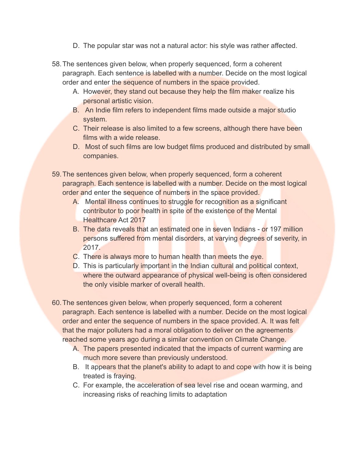- D. The popular star was not a natural actor: his style was rather affected.
- 58.The sentences given below, when properly sequenced, form a coherent paragraph. Each sentence is labelled with a number. Decide on the most logical order and enter the sequence of numbers in the space provided.
	- A. However, they stand out because they help the film maker realize his personal artistic vision.
	- B. An Indie film refers to independent films made outside a major studio system.
	- C. Their release is also limited to a few screens, although there have been films with a wide release.
	- D. Most of such films are low budget films produced and distributed by small companies.
- 59.The sentences given below, when properly sequenced, form a coherent paragraph. Each sentence is labelled with a number. Decide on the most logical order and enter the sequence of numbers in the space provided.
	- A. Mental illness continues to struggle for recognition as a significant contributor to poor health in spite of the existence of the Mental Healthcare Act 2017
	- B. The data reveals that an estimated one in seven Indians or 197 million persons suffered from mental disorders, at varying degrees of severity, in 2017.
	- C. There is always more to human health than meets the eye.
	- D. This is particularly important in the Indian cultural and political context, where the outward appearance of physical well-being is often considered the only visible marker of overall health.
- 60.The sentences given below, when properly sequenced, form a coherent paragraph. Each sentence is labelled with a number. Decide on the most logical order and enter the sequence of numbers in the space provided. A. It was felt that the major polluters had a moral obligation to deliver on the agreements reached some years ago during a similar convention on Climate Change.
	- A. The papers presented indicated that the impacts of current warming are much more severe than previously understood.
	- B. It appears that the planet's ability to adapt to and cope with how it is being treated is fraying.
	- C. For example, the acceleration of sea level rise and ocean warming, and increasing risks of reaching limits to adaptation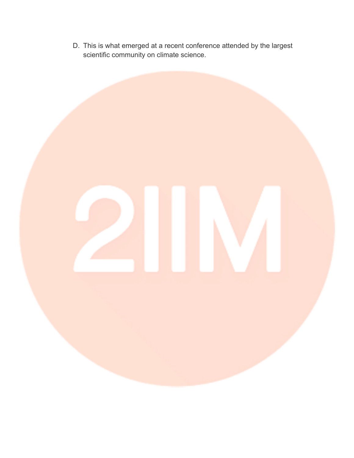D. This is what emerged at a recent conference attended by the largest scientific community on climate science.